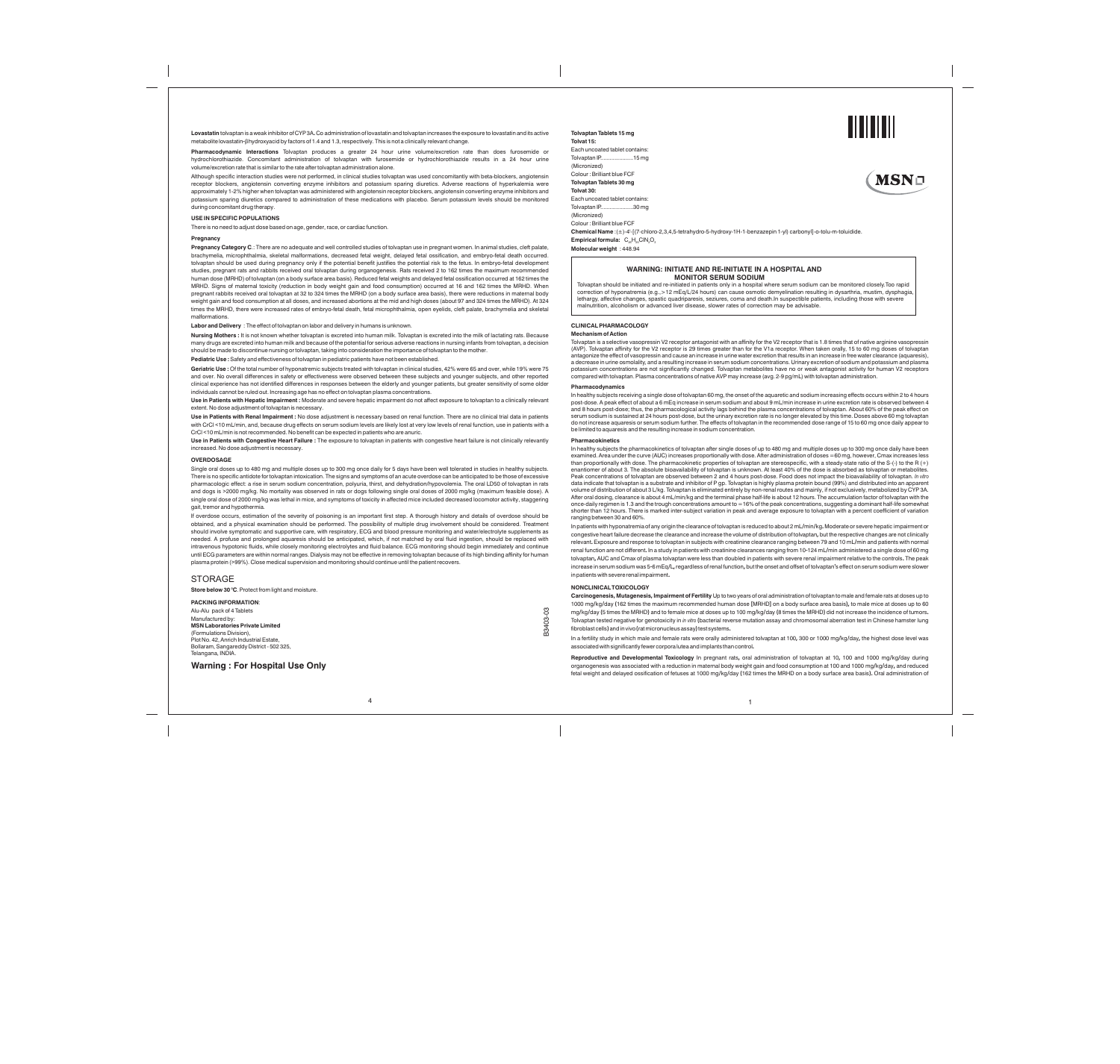**Tolvaptan Tablets 15 mg Tolvat 15:** 

Each uncoated tablet contains: Tolvaptan IP.....................15 mg (Micronized) Colour : Brilliant blue FCF **Tolvaptan Tablets 30 mg Tolvat 30:** Each uncoated tablet contains: Tolvaptan IP.....................30 mg

(Micronized) Colour : Brilliant blue FCF

**Chemical Name** :(±)-4'-[(7-chloro-2,3,4,5-tetrahydro-5-hydroxy-1H-1-benzazepin 1-yl) carbonyl]-o-tolu-m-toluidide. **Empirical formula:**  $C_{26}H_{26}CIN_{2}O_{3}$ **Molecular weight** : 448.94

## **CLINICAL PHARMACOLOGY**

 $\overline{\phantom{a}}$ 

**Mechanism of Action**

Tolyaptan is a selective vasopressin V2 receptor antagonist with an affinity for the V2 receptor that is 1.8 times that of native arginine vasopressin (AVP). Tolvaptan affinity for the V2 receptor is 29 times greater than for the V1a receptor. When taken orally, 15 to 60 mg doses of tolvaptan antagonize the effect of vasopressin and cause an increase in urine water excretion that results in an increase in free water clearance (aquaresis), a decrease in urine osmolality, and a resulting increase in serum sodium concentrations. Urinary excretion of sodium and potassium and plasma<br>potassium concentrations are not significantly changed. Tolvaptan metabolites ha

In healthy subjects receiving a single dose of tolvaptan 60 mg, the onset of the aquaretic and sodium increasing effects occurs within 2 to 4 hours<br>post-dose. A peak effect of about a 6 mEq increase in serum sodium and abo and 8 hours post-dose; thus, the pharmacological activity lags behind the plasma concentrations of tolvaptan. About 60% of the peak effect on serum sodium is sustained at 24 hours post-dose, but the urinary excretion rate is no longer elevated by this time. Doses above 60 mg tolvaptan<br>do not increase aquaresis or serum sodium further. The effects of tolvaptan in be limited to aquaresis and the resulting increase in sodium concentration.

### **Pharmacodynamics**

In healthy subjects the pharmacokinetics of tolvaptan after single doses of up to 480 mg and multiple doses up to 300 mg once daily have been<br>examined. Area under the curve (AUC) increases proportionally with dose. After a enantiomer of about 3. The absolute bioavailability of tolvaptan is unknown. At least 40% of the dose is absorbed as tolvaptan or metabolites.<br>Peak concentrations of tolvaptan are observed between 2 and 4 hours post-dose. volume of distribution of about 3 L/kg. Tolvaptan is eliminated entirely by non-renal routes and mainly, if not exclusively, metabolized by CYP 3A.<br>After oral dosing, clearance is about 4 mL/min/kg and the terminal phase h shorter than 12 hours. There is marked inter-subject variation in peak and average exposure to tolvaptan with a percent coefficient of variation ranging between 30 and 60%.

### **Pharmacokinetics**

Tolvaptan should be initiated and re-initiated in patients only in a hospital where serum sodium can be monitored closely.Too rapid correction of hyponatremia (e.g.,>12 mEq/L/24 hours) can cause osmotic demyelination resulting in dysarthria, mustim, dysphagia,<br>lethargy, affective changes, spastic quadriparesis, seziures, coma and death.In suspectible

In patients with hyponatremia of any origin the clearance of tolvaptan is reduced to about 2 mL**/**min**/**kg**.**Moderate or severe hepatic impairment or congestive heart failure decrease the clearance and increase the volume of distribution of tolvaptan**,**but the respective changes are not clinically relevant**.**Exposure and response to tolvaptan in subjects with creatinine clearance ranging between 79 and 10 mL**/**min and patients with normal renal function are not different**.** In a study in patients with creatinine clearances ranging from 10**-**124 mL**/**min administered a single dose of 60 mg tolvaptan**,**AUC and Cmax of plasma tolvaptan were less than doubled in patients with severe renal impairment relative to the controls**.**The peak increase in serum sodium was 5**-**6 mEq**/**L**,**regardless ofrenal function**,**but the onset and offset of tolvaptan**'**s effect on serum sodium were slower

## inpatientswithsevererenal impairment**. NONCLINICALTOXICOLOGY**

**Carcinogenesis, Mutagenesis,Impairment of Fertility** Up to two years of oral administration of tolvaptan to male and female rats at doses up to 1000 mg**/**kg**/**day **(**162 times the maximum recommended human dose **[**MRHD**]**on a body surface area basis**),**to male mice at doses up to 60 mg**/**kg**/**day**(**5 times the MRHD**)**and to female mice at doses up to 100 mg**/**kg**/**day**(**8 times the MRHD**)**did not increase the incidence of tumors**.** Tolvaptan tested negative for genotoxicity in *in vitro***(**bacterial reverse mutation assay and chromosomal aberration test in Chinese hamster lung fibroblastcells**)**andinvivo**(**ratmicronucleusassay**)**test systems**.**

In a fertility study in which male and female rats were orally administered tolvaptan at 100**,**300 or 1000 mg**/**kg**/**day**,**the highest dose level was associatedwithsignificantly fewercorporaluteaand implants thancontrol**.**

**Reproductive and Developmental Toxicology** In pregnant rats**,** oral administration of tolvaptan at 10**,** 100 and 1000 mg**/**kg**/**day during organogenesis was associated with a reduction in maternal body weight gain and food consumption at 100 and 1000 mg**/**kg**/**day**,**and reduced fetal weight and delayed ossification of fetuses at 1000 mg**/**kg**/**day **(**162 times the MRHD on a body surface area basis**).**Oral administration of

1



## **WARNING: INITIATE AND RE-INITIATE IN A HOSPITAL AND MONITOR SERUM SODIUM**

4

**Lovastatin** tolvaptan is a weak inhibitor of CYP3A**.**Co administration of lovastatin andtolvaptan increases the exposure to lovastatin andits active metabolitelovastatin**-**βhydroxyacid by factors of 1.4 and 1.3, respectively. This is not a clinically relevant change.

**Pharmacodynamic Interactions** Tolvaptan produces a greater 24 hour urine volume/excretion rate than does furosemide or hydrochlorothiazide. Concomitant administration of tolvaptan with furosemide or hydrochlorothiazide results in a 24 hour urine volume/excretion rate that is similar to the rate after tolvaptan administration alone.

Although specific interaction studies were not performed, in clinical studies tolvaptan was used concomitantly with beta-blockers, angiotensin receptor blockers, angiotensin converting enzyme inhibitors and potassium sparing diuretics. Adverse reactions of hyperkalemia were approximately 1-2% higher when tolvaptan was administered with angiotensin receptor blockers, angiotensin converting enzyme inhibitors and potassium sparing diuretics compared to administration of these medications with placebo. Serum potassium levels should be monitored during concomitant drug therapy.

**USE IN SPECIFIC POPULATIONS**

There is no need to adjust dose based on age, gender, race, or cardiac function.

#### **Pregnancy**

**Pregnancy Category C**.: There are no adequate and well controlled studies of tolvaptan use in pregnant women. In animal studies, cleft palate, brachymelia, microphthalmia, skeletal malformations, decreased fetal weight, delayed fetal ossification, and embryo-fetal death occurred. tolvaptan should be used during pregnancy only if the potential benefit justifies the potential risk to the fetus. In embryo-fetal development studies, pregnant rats and rabbits received oral tolvaptan during organogenesis. Rats received 2 to 162 times the maximum recommended<br>human dose (MRHD) of tolvaptan (on a body surface area basis). Reduced fetal weights and MRHD. Signs of maternal toxicity (reduction in body weight gain and food consumption) occurred at 16 and 162 times the MRHD. When<br>pregnant rabbits received oral tolvaptan at 32 to 324 times the MRHD (on a body surface area weight gain and food consumption at all doses, and increased abortions at the mid and high doses (about 97 and 324 times the MRHD). At 324 times the MRHD, there were increased rates of embryo-fetal death, fetal microphthalmia, open eyelids, cleft palate, brachymelia and skeletal malformations.

**Labor and Delivery** : The effect of tolvaptan on labor and delivery in humans is unknown.

**Nursing Mothers :** It is not known whether tolvaptan is excreted into human milk. Tolvaptan is excreted into the milk of lactating rats. Because many drugs are excreted into human milk and because of the potential for serious adverse reactions in nursing infants from tolva should be made to discontinue nursing or tolvaptan, taking into consideration the importance of tolvaptan to the mother.

**Pediatric Use :** Safety and effectiveness of tolvaptan in pediatric patients have not been established.

**Geriatric Use :** Of the total number of hyponatremic subjects treated with tolvaptan in clinical studies, 42% were 65 and over, while 19% were 75 and over. No overall differences in safety or effectiveness were observed between these subjects and younger subjects, and other reported clinical experience has not identified differences in responses between the elderly and younger patients, but greater sensitivity of some older individuals cannot be ruled out. Increasing age has no effect on tolvaptan plasma concentrations.

**Use in Patients with Hepatic Impairment :** Moderate and severe hepatic impairment do not affect exposure to tolvaptan to a clinically relevant extent. No dose adjustment of tolvaptan is necessary.

**Use in Patients with Renal Impairment :** No dose adjustment is necessary based on renal function. There are no clinical trial data in patients with CrCl <10 mL/min, and, because drug effects on serum sodium levels are likely lost at very low levels of renal function, use in patients with a CrCl <10 mL/min is not recommended. No benefit can be expected in patients who are anuric.

**Use in Patients with Congestive Heart Failure :** The exposure to tolvaptan in patients with congestive heart failure is not clinically relevantly increased. No dose adjustment is necessary.

## **OVERDOSAGE**

Single oral doses up to 480 mg and multiple doses up to 300 mg once daily for 5 days have been well tolerated in studies in healthy subjects. There is no specific antidote for tolvaptan intoxication. The signs and symptoms of an acute overdose can be anticipated to be those of excessive pharmacologic effect: a rise in serum sodium concentration, polyuria, thirst, and dehydration/hypovolemia. The oral LD50 of tolvaptan in rats<br>and dogs is >2000 mg/kg. No mortality was observed in rats or dogs following sin single oral dose of 2000 mg/kg was lethal in mice, and symptoms of toxicity in affected mice included decreased locomotor activity, staggering gait, tremor and hypothermia.

If overdose occurs, estimation of the severity of poisoning is an important first step. A thorough history and details of overdose should be obtained, and a physical examination should be performed. The possibility of multiple drug involvement should be considered. Treatment should involve symptomatic and supportive care, with respiratory, ECG and blood pressure monitoring and water/electrolyte supplements as needed. A profuse and prolonged aquaresis should be anticipated, which, if not matched by oral fluid ingestion, should be replaced with intravenous hypotonic fluids, while closely monitoring electrolytes and fluid balance. ECG monitoring should begin immediately and continue<br>until ECG parameters are within normal ranges. Dialysis may not be effective in re plasma protein (>99%). Close medical supervision and monitoring should continue until the patient recovers.

### STORAGE

**<sup>0</sup> Store below 30 C**. Protect from light and moisture.

**PACKING INFORMATION**:

Alu-Alu pack of 4 Tablets Manufactured by: **MSN Laboratories Private Limited** (Formulations Division), Plot No. 42, Anrich Industrial Estate, Bollaram, Sangareddy District - 502 325, Telangana, INDIA.

**Warning : For Hospital Use Only**

B3403-03

ප B3403